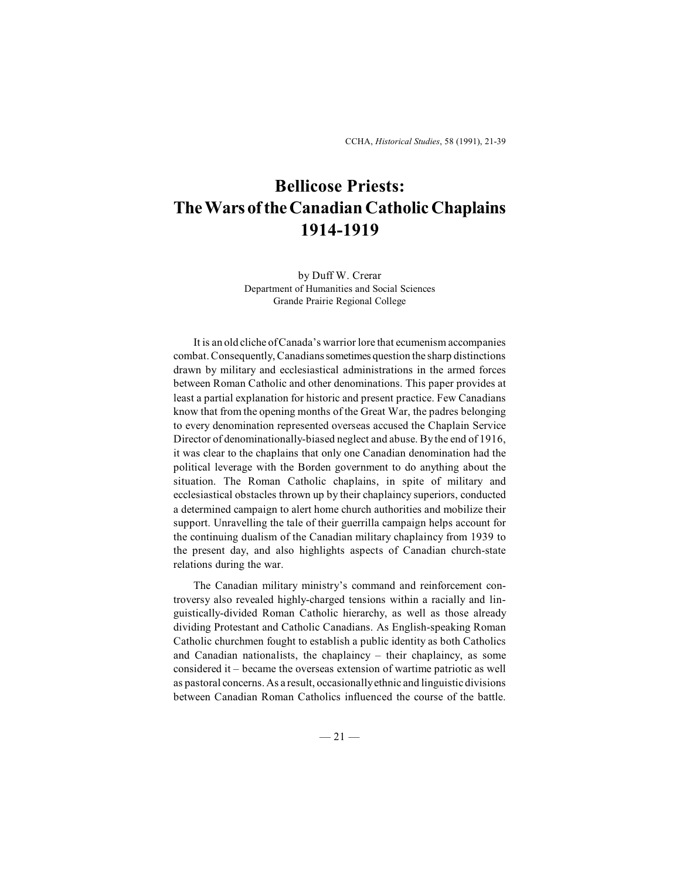CCHA, *Historical Studies*, 58 (1991), 21-39

## **Bellicose Priests: The Wars of the Canadian Catholic Chaplains 1914-1919**

by Duff W. Crerar Department of Humanities and Social Sciences Grande Prairie Regional College

It is an old cliche ofCanada's warrior lore that ecumenism accompanies combat. Consequently, Canadians sometimes question the sharp distinctions drawn by military and ecclesiastical administrations in the armed forces between Roman Catholic and other denominations. This paper provides at least a partial explanation for historic and present practice. Few Canadians know that from the opening months of the Great War, the padres belonging to every denomination represented overseas accused the Chaplain Service Director of denominationally-biased neglect and abuse. By the end of 1916, it was clear to the chaplains that only one Canadian denomination had the political leverage with the Borden government to do anything about the situation. The Roman Catholic chaplains, in spite of military and ecclesiastical obstacles thrown up by their chaplaincy superiors, conducted a determined campaign to alert home church authorities and mobilize their support. Unravelling the tale of their guerrilla campaign helps account for the continuing dualism of the Canadian military chaplaincy from 1939 to the present day, and also highlights aspects of Canadian church-state relations during the war.

The Canadian military ministry's command and reinforcement controversy also revealed highly-charged tensions within a racially and linguistically-divided Roman Catholic hierarchy, as well as those already dividing Protestant and Catholic Canadians. As English-speaking Roman Catholic churchmen fought to establish a public identity as both Catholics and Canadian nationalists, the chaplaincy – their chaplaincy, as some considered it – became the overseas extension of wartime patriotic as well as pastoral concerns. As a result, occasionally ethnic and linguistic divisions between Canadian Roman Catholics influenced the course of the battle.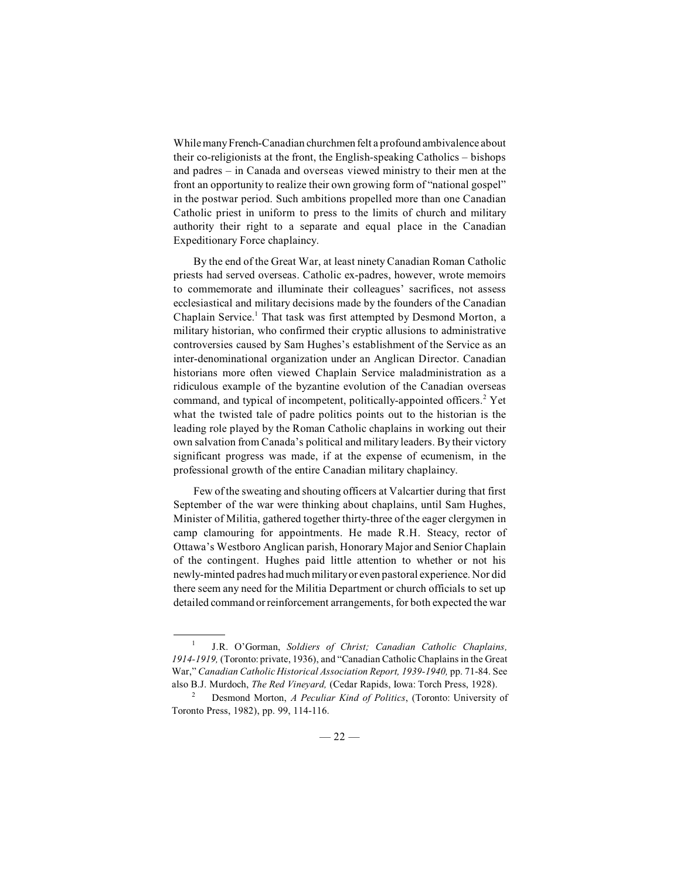While many French-Canadian churchmen felt a profound ambivalence about their co-religionists at the front, the English-speaking Catholics – bishops and padres – in Canada and overseas viewed ministry to their men at the front an opportunity to realize their own growing form of "national gospel" in the postwar period. Such ambitions propelled more than one Canadian Catholic priest in uniform to press to the limits of church and military authority their right to a separate and equal place in the Canadian Expeditionary Force chaplaincy.

By the end of the Great War, at least ninety Canadian Roman Catholic priests had served overseas. Catholic ex-padres, however, wrote memoirs to commemorate and illuminate their colleagues' sacrifices, not assess ecclesiastical and military decisions made by the founders of the Canadian Chaplain Service.<sup>1</sup> That task was first attempted by Desmond Morton, a military historian, who confirmed their cryptic allusions to administrative controversies caused by Sam Hughes's establishment of the Service as an inter-denominational organization under an Anglican Director. Canadian historians more often viewed Chaplain Service maladministration as a ridiculous example of the byzantine evolution of the Canadian overseas command, and typical of incompetent, politically-appointed officers.<sup>2</sup> Yet what the twisted tale of padre politics points out to the historian is the leading role played by the Roman Catholic chaplains in working out their own salvation from Canada's political and military leaders. By their victory significant progress was made, if at the expense of ecumenism, in the professional growth of the entire Canadian military chaplaincy.

Few of the sweating and shouting officers at Valcartier during that first September of the war were thinking about chaplains, until Sam Hughes, Minister of Militia, gathered together thirty-three of the eager clergymen in camp clamouring for appointments. He made R.H. Steacy, rector of Ottawa's Westboro Anglican parish, Honorary Major and Senior Chaplain of the contingent. Hughes paid little attention to whether or not his newly-minted padres hadmuch militaryor even pastoral experience. Nor did there seem any need for the Militia Department or church officials to set up detailed command or reinforcement arrangements, for both expected the war

J.R. O'Gorman, *Soldiers of Christ; Canadian Catholic Chaplains,* 1 *1914-1919,* (Toronto: private, 1936), and "Canadian Catholic Chaplains in the Great War," *Canadian Catholic Historical Association Report, 1939-1940,* pp. 71-84. See also B.J. Murdoch, *The Red Vineyard,* (Cedar Rapids, Iowa: Torch Press, 1928).

Desmond Morton, *A Peculiar Kind of Politics*, (Toronto: University of Toronto Press, 1982), pp. 99, 114-116.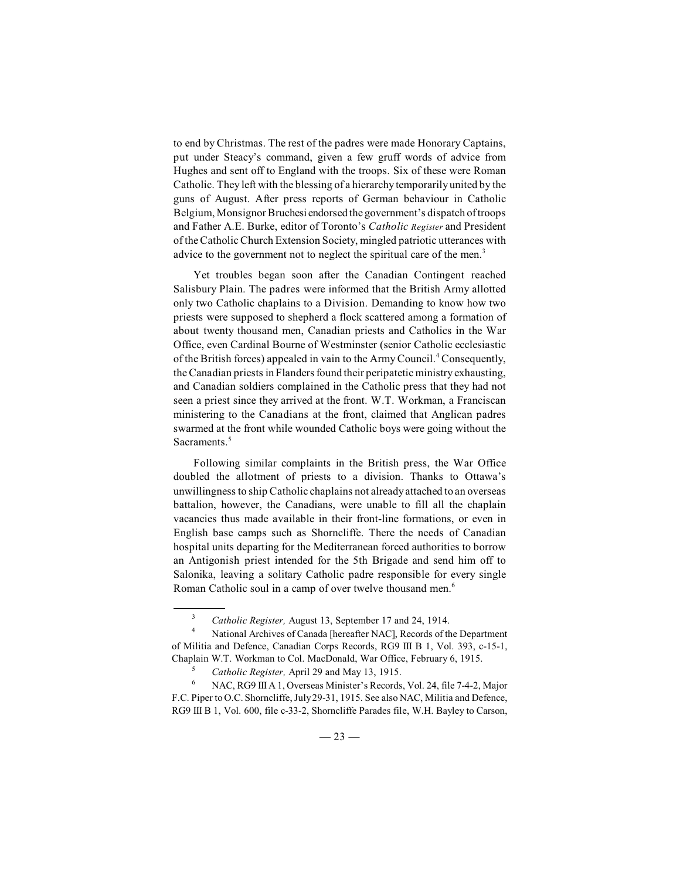to end by Christmas. The rest of the padres were made Honorary Captains, put under Steacy's command, given a few gruff words of advice from Hughes and sent off to England with the troops. Six of these were Roman Catholic. They left with the blessing of a hierarchy temporarily united by the guns of August. After press reports of German behaviour in Catholic Belgium, Monsignor Bruchesi endorsed the government's dispatch of troops and Father A.E. Burke, editor of Toronto's *Catholic Register* and President of theCatholicChurch Extension Society, mingled patriotic utterances with advice to the government not to neglect the spiritual care of the men.<sup>3</sup>

Yet troubles began soon after the Canadian Contingent reached Salisbury Plain. The padres were informed that the British Army allotted only two Catholic chaplains to a Division. Demanding to know how two priests were supposed to shepherd a flock scattered among a formation of about twenty thousand men, Canadian priests and Catholics in the War Office, even Cardinal Bourne of Westminster (senior Catholic ecclesiastic of the British forces) appealed in vain to the Army Council.<sup>4</sup> Consequently, the Canadian priests in Flanders found their peripatetic ministry exhausting, and Canadian soldiers complained in the Catholic press that they had not seen a priest since they arrived at the front. W.T. Workman, a Franciscan ministering to the Canadians at the front, claimed that Anglican padres swarmed at the front while wounded Catholic boys were going without the Sacraments.<sup>5</sup>

Following similar complaints in the British press, the War Office doubled the allotment of priests to a division. Thanks to Ottawa's unwillingness to ship Catholic chaplains not already attached to an overseas battalion, however, the Canadians, were unable to fill all the chaplain vacancies thus made available in their front-line formations, or even in English base camps such as Shorncliffe. There the needs of Canadian hospital units departing for the Mediterranean forced authorities to borrow an Antigonish priest intended for the 5th Brigade and send him off to Salonika, leaving a solitary Catholic padre responsible for every single Roman Catholic soul in a camp of over twelve thousand men.<sup>6</sup>

<sup>&</sup>lt;sup>3</sup> *Catholic Register, August 13, September 17 and 24, 1914.* 

National Archives of Canada [hereafter NAC], Records of the Department <sup>4</sup> of Militia and Defence, Canadian Corps Records, RG9 III B 1, Vol. 393, c-15-1, Chaplain W.T. Workman to Col. MacDonald, War Office, February 6, 1915.

<sup>&</sup>lt;sup>5</sup> *Catholic Register,* April 29 and May 13, 1915.

NAC, RG9 III A 1, Overseas Minister's Records, Vol. 24, file 7-4-2, Major <sup>6</sup> F.C. Piper toO.C. Shorncliffe, July29-31, 1915. See also NAC, Militia and Defence, RG9 III B 1, Vol. 600, file c-33-2, Shorncliffe Parades file, W.H. Bayley to Carson,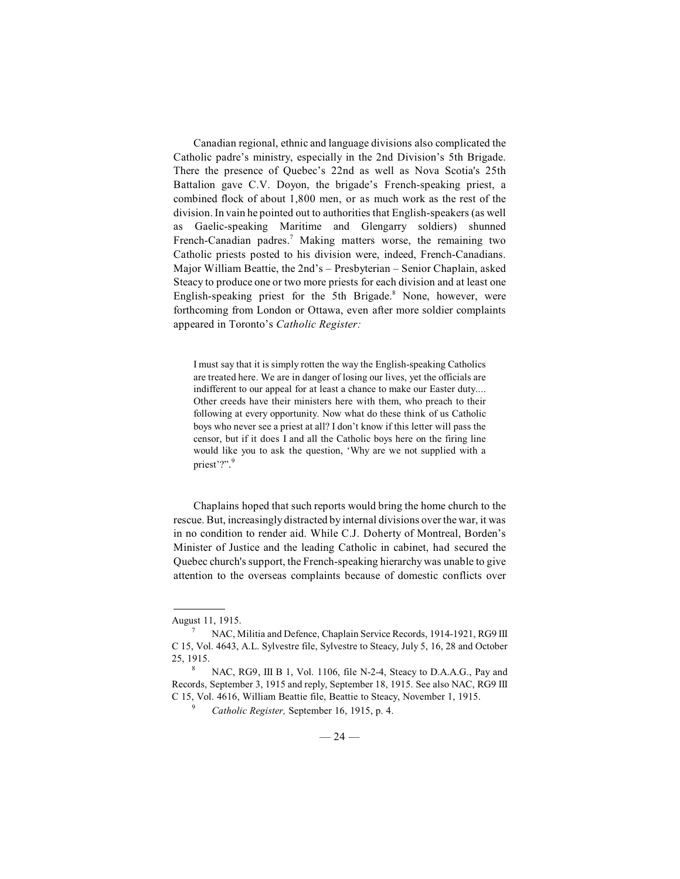Canadian regional, ethnic and language divisions also complicated the Catholic padre's ministry, especially in the 2nd Division's 5th Brigade. There the presence of Quebec's 22nd as well as Nova Scotia's 25th Battalion gave C.V. Doyon, the brigade's French-speaking priest, a combined flock of about 1,800 men, or as much work as the rest of the division. In vain he pointed out to authorities that English-speakers (as well as Gaelic-speaking Maritime and Glengarry soldiers) shunned French-Canadian padres.<sup>7</sup> Making matters worse, the remaining two Catholic priests posted to his division were, indeed, French-Canadians. Major William Beattie, the 2nd's – Presbyterian – Senior Chaplain, asked Steacy to produce one or two more priests for each division and at least one English-speaking priest for the 5th Brigade. $8$  None, however, were forthcoming from London or Ottawa, even after more soldier complaints appeared in Toronto's *Catholic Register:*

I must say that it is simply rotten the way the English-speaking Catholics are treated here. We are in danger of losing our lives, yet the officials are indifferent to our appeal for at least a chance to make our Easter duty.... Other creeds have their ministers here with them, who preach to their following at every opportunity. Now what do these think of us Catholic boys who never see a priest at all? I don't know if this letter will pass the censor, but if it does I and all the Catholic boys here on the firing line would like you to ask the question, 'Why are we not supplied with a priest'?". 9

Chaplains hoped that such reports would bring the home church to the rescue. But, increasingly distracted by internal divisions over the war, it was in no condition to render aid. While C.J. Doherty of Montreal, Borden's Minister of Justice and the leading Catholic in cabinet, had secured the Quebec church's support, the French-speaking hierarchy was unable to give attention to the overseas complaints because of domestic conflicts over

August 11, 1915.

 $NAC$ , Militia and Defence, Chaplain Service Records, 1914-1921, RG9 III C 15, Vol. 4643, A.L. Sylvestre file, Sylvestre to Steacy, July 5, 16, 28 and October 25, 1915.

NAC, RG9, III B 1, Vol. 1106, file N-2-4, Steacy to D.A.A.G., Pay and Records, September 3, 1915 and reply, September 18, 1915. See also NAC, RG9 III C 15, Vol. 4616, William Beattie file, Beattie to Steacy, November 1, 1915.

*Catholic Register, September 16, 1915, p. 4.*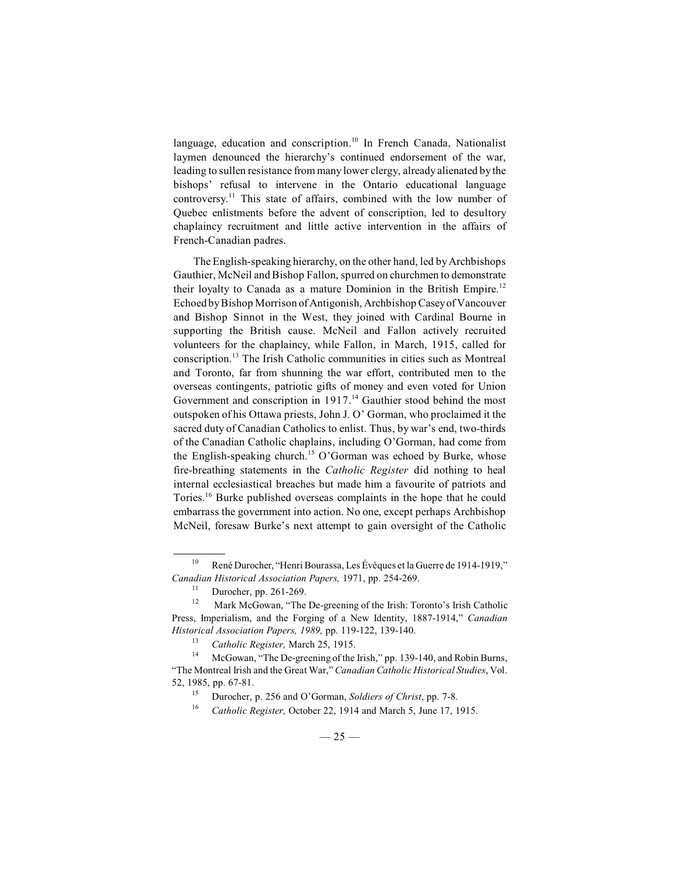language, education and conscription.<sup>10</sup> In French Canada, Nationalist laymen denounced the hierarchy's continued endorsement of the war, leading to sullen resistance from many lower clergy, already alienated by the bishops' refusal to intervene in the Ontario educational language controversy.<sup>11</sup> This state of affairs, combined with the low number of Quebec enlistments before the advent of conscription, led to desultory chaplaincy recruitment and little active intervention in the affairs of French-Canadian padres.

The English-speaking hierarchy, on the other hand, led by Archbishops Gauthier, McNeil and Bishop Fallon, spurred on churchmen to demonstrate their loyalty to Canada as a mature Dominion in the British Empire.<sup>12</sup> Echoed by Bishop Morrison of Antigonish, Archbishop Casey of Vancouver and Bishop Sinnot in the West, they joined with Cardinal Bourne in supporting the British cause. McNeil and Fallon actively recruited volunteers for the chaplaincy, while Fallon, in March, 1915, called for  $\alpha$ conscription.<sup>13</sup> The Irish Catholic communities in cities such as Montreal and Toronto, far from shunning the war effort, contributed men to the overseas contingents, patriotic gifts of money and even voted for Union Government and conscription in  $1917<sup>14</sup>$  Gauthier stood behind the most outspoken of his Ottawa priests, John J. O' Gorman, who proclaimed it the sacred duty of Canadian Catholics to enlist. Thus, by war's end, two-thirds of the Canadian Catholic chaplains, including O'Gorman, had come from the English-speaking church.<sup>15</sup> O'Gorman was echoed by Burke, whose fire-breathing statements in the *Catholic Register* did nothing to heal internal ecclesiastical breaches but made him a favourite of patriots and Tories.<sup>16</sup> Burke published overseas complaints in the hope that he could embarrass the government into action. No one, except perhaps Archbishop McNeil, foresaw Burke's next attempt to gain oversight of the Catholic

<sup>&</sup>lt;sup>10</sup> René Durocher, "Henri Bourassa, Les Évèques et la Guerre de 1914-1919," *Canadian Historical Association Papers,* 1971, pp. 254-269.

 $\frac{11}{12}$  Durocher, pp. 261-269.

Mark McGowan, "The De-greening of the Irish: Toronto's Irish Catholic Press, Imperialism, and the Forging of a New Identity, 1887-1914," *Canadian Historical Association Papers, 1989,* pp. 119-122, 139-140.

*Catholic Register, March 25, 1915.* 

<sup>&</sup>lt;sup>14</sup> McGowan, "The De-greening of the Irish," pp. 139-140, and Robin Burns, "The Montreal Irish and the Great War," *Canadian Catholic Historical Studies*, Vol. 52, 1985, pp. 67-81.<br>
<sup>15</sup> Durocher 1

Durocher, p. 256 and O'Gorman, *Soldiers of Christ*, pp. 7-8.

<sup>&</sup>lt;sup>16</sup> Catholic Register, October 22, 1914 and March 5, June 17, 1915.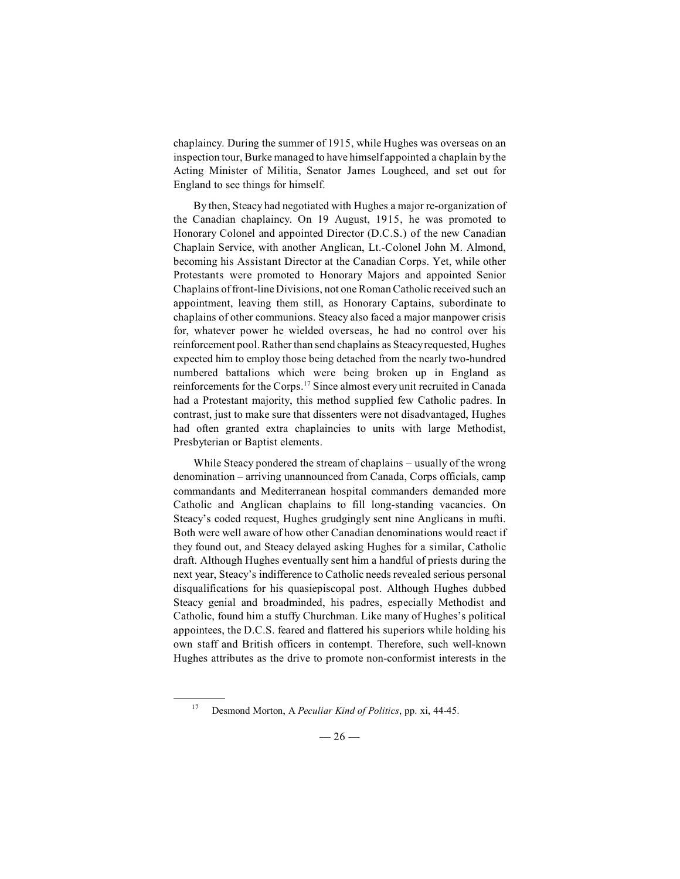chaplaincy. During the summer of 1915, while Hughes was overseas on an inspection tour, Burke managed to have himself appointed a chaplain by the Acting Minister of Militia, Senator James Lougheed, and set out for England to see things for himself.

By then, Steacy had negotiated with Hughes a major re-organization of the Canadian chaplaincy. On 19 August, 1915, he was promoted to Honorary Colonel and appointed Director (D.C.S.) of the new Canadian Chaplain Service, with another Anglican, Lt.-Colonel John M. Almond, becoming his Assistant Director at the Canadian Corps. Yet, while other Protestants were promoted to Honorary Majors and appointed Senior Chaplains of front-line Divisions, not one Roman Catholic received such an appointment, leaving them still, as Honorary Captains, subordinate to chaplains of other communions. Steacy also faced a major manpower crisis for, whatever power he wielded overseas, he had no control over his reinforcement pool. Rather than send chaplains as Steacy requested, Hughes expected him to employ those being detached from the nearly two-hundred numbered battalions which were being broken up in England as reinforcements for the Corps.<sup>17</sup> Since almost every unit recruited in Canada had a Protestant majority, this method supplied few Catholic padres. In contrast, just to make sure that dissenters were not disadvantaged, Hughes had often granted extra chaplaincies to units with large Methodist, Presbyterian or Baptist elements.

While Steacy pondered the stream of chaplains – usually of the wrong denomination – arriving unannounced from Canada, Corps officials, camp commandants and Mediterranean hospital commanders demanded more Catholic and Anglican chaplains to fill long-standing vacancies. On Steacy's coded request, Hughes grudgingly sent nine Anglicans in mufti. Both were well aware of how other Canadian denominations would react if they found out, and Steacy delayed asking Hughes for a similar, Catholic draft. Although Hughes eventually sent him a handful of priests during the next year, Steacy's indifference to Catholic needs revealed serious personal disqualifications for his quasiepiscopal post. Although Hughes dubbed Steacy genial and broadminded, his padres, especially Methodist and Catholic, found him a stuffy Churchman. Like many of Hughes's political appointees, the D.C.S. feared and flattered his superiors while holding his own staff and British officers in contempt. Therefore, such well-known Hughes attributes as the drive to promote non-conformist interests in the

<sup>&</sup>lt;sup>17</sup> Desmond Morton, A *Peculiar Kind of Politics*, pp. xi, 44-45.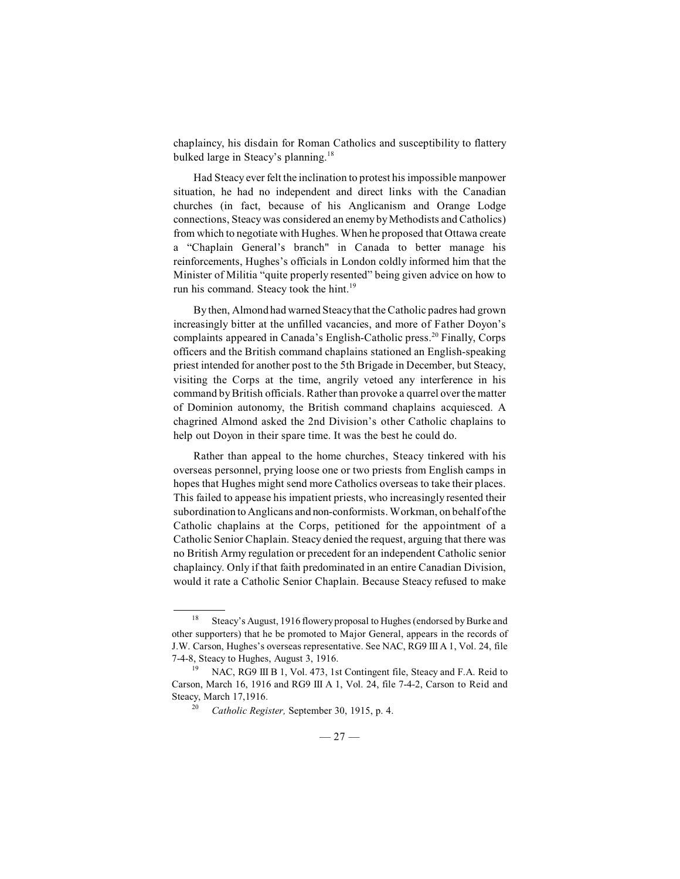chaplaincy, his disdain for Roman Catholics and susceptibility to flattery bulked large in Steacy's planning.<sup>18</sup>

Had Steacy ever felt the inclination to protest hisimpossible manpower situation, he had no independent and direct links with the Canadian churches (in fact, because of his Anglicanism and Orange Lodge connections, Steacy was considered an enemy by Methodists and Catholics) from which to negotiate with Hughes. When he proposed that Ottawa create a "Chaplain General's branch" in Canada to better manage his reinforcements, Hughes's officials in London coldly informed him that the Minister of Militia "quite properly resented" being given advice on how to run his command. Steacy took the hint.<sup>19</sup>

By then, Almond had warned Steacythat the Catholic padres had grown increasingly bitter at the unfilled vacancies, and more of Father Doyon's complaints appeared in Canada's English-Catholic press.<sup>20</sup> Finally, Corps officers and the British command chaplains stationed an English-speaking priest intended for another post to the 5th Brigade in December, but Steacy, visiting the Corps at the time, angrily vetoed any interference in his command by British officials. Rather than provoke a quarrel over the matter of Dominion autonomy, the British command chaplains acquiesced. A chagrined Almond asked the 2nd Division's other Catholic chaplains to help out Doyon in their spare time. It was the best he could do.

Rather than appeal to the home churches, Steacy tinkered with his overseas personnel, prying loose one or two priests from English camps in hopes that Hughes might send more Catholics overseas to take their places. This failed to appease his impatient priests, who increasingly resented their subordination to Anglicans and non-conformists. Workman, on behalf of the Catholic chaplains at the Corps, petitioned for the appointment of a Catholic Senior Chaplain. Steacy denied the request, arguing that there was no British Army regulation or precedent for an independent Catholic senior chaplaincy. Only if that faith predominated in an entire Canadian Division, would it rate a Catholic Senior Chaplain. Because Steacy refused to make

<sup>&</sup>lt;sup>18</sup> Steacy's August, 1916 flowery proposal to Hughes (endorsed by Burke and other supporters) that he be promoted to Major General, appears in the records of J.W. Carson, Hughes's overseas representative. See NAC, RG9 III A 1, Vol. 24, file 7-4-8, Steacy to Hughes, August 3, 1916.

<sup>&</sup>lt;sup>19</sup> NAC, RG9 III B 1, Vol. 473, 1st Contingent file, Steacy and F.A. Reid to Carson, March 16, 1916 and RG9 III A 1, Vol. 24, file 7-4-2, Carson to Reid and Steacy, March 17,1916.

*Catholic Register, September 30, 1915, p. 4.*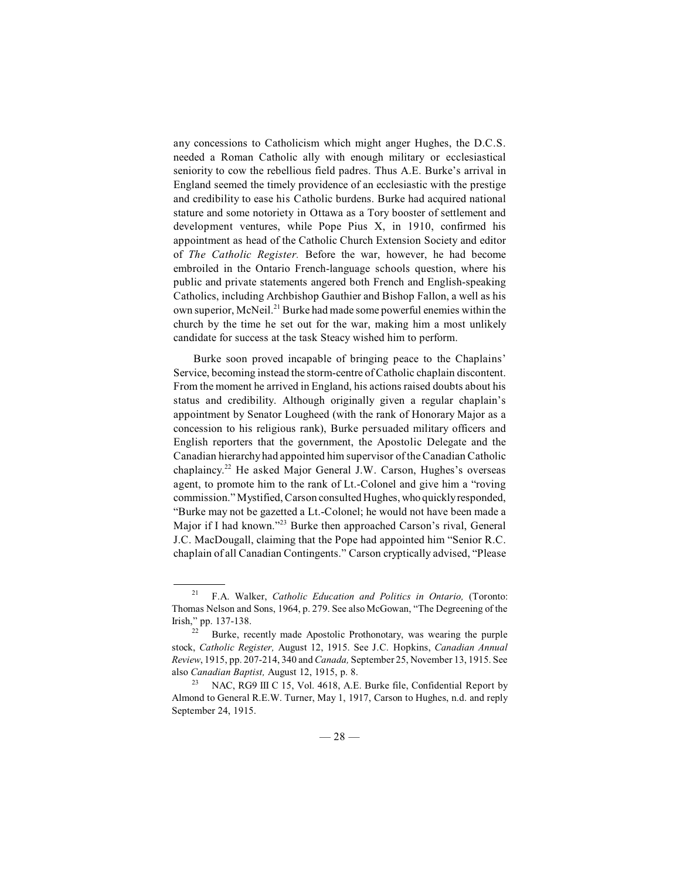any concessions to Catholicism which might anger Hughes, the D.C.S. needed a Roman Catholic ally with enough military or ecclesiastical seniority to cow the rebellious field padres. Thus A.E. Burke's arrival in England seemed the timely providence of an ecclesiastic with the prestige and credibility to ease his Catholic burdens. Burke had acquired national stature and some notoriety in Ottawa as a Tory booster of settlement and development ventures, while Pope Pius X, in 1910, confirmed his appointment as head of the Catholic Church Extension Society and editor of *The Catholic Register.* Before the war, however, he had become embroiled in the Ontario French-language schools question, where his public and private statements angered both French and English-speaking Catholics, including Archbishop Gauthier and Bishop Fallon, a well as his own superior, McNeil.<sup>21</sup> Burke had made some powerful enemies within the church by the time he set out for the war, making him a most unlikely candidate for success at the task Steacy wished him to perform.

Burke soon proved incapable of bringing peace to the Chaplains' Service, becoming instead the storm-centre of Catholic chaplain discontent. From the moment he arrived in England, his actions raised doubts about his status and credibility. Although originally given a regular chaplain's appointment by Senator Lougheed (with the rank of Honorary Major as a concession to his religious rank), Burke persuaded military officers and English reporters that the government, the Apostolic Delegate and the Canadian hierarchyhad appointed him supervisor of the Canadian Catholic chaplaincy.<sup>22</sup> He asked Major General J.W. Carson, Hughes's overseas agent, to promote him to the rank of Lt.-Colonel and give him a "roving commission." Mystified, Carson consulted Hughes, who quickly responded, "Burke may not be gazetted a Lt.-Colonel; he would not have been made a Major if I had known."<sup>23</sup> Burke then approached Carson's rival, General J.C. MacDougall, claiming that the Pope had appointed him "Senior R.C. chaplain of all Canadian Contingents." Carson cryptically advised, "Please

<sup>&</sup>lt;sup>21</sup> F.A. Walker, *Catholic Education and Politics in Ontario*, (Toronto: Thomas Nelson and Sons, 1964, p. 279. See also McGowan, "The Degreening of the Irish," pp. 137-138.

Burke, recently made Apostolic Prothonotary, was wearing the purple stock, *Catholic Register,* August 12, 1915. See J.C. Hopkins, *Canadian Annual Review*, 1915, pp. 207-214, 340 and *Canada,* September 25, November 13, 1915. See also *Canadian Baptist,* August 12, 1915, p. 8.

NAC, RG9 III C 15, Vol. 4618, A.E. Burke file, Confidential Report by Almond to General R.E.W. Turner, May 1, 1917, Carson to Hughes, n.d. and reply September 24, 1915.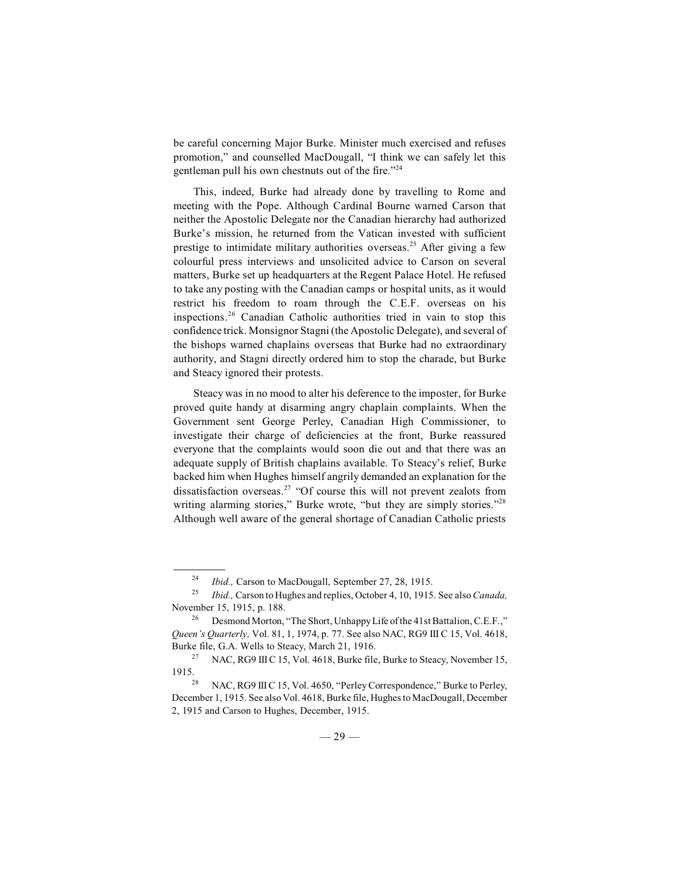be careful concerning Major Burke. Minister much exercised and refuses promotion," and counselled MacDougall, "I think we can safely let this gentleman pull his own chestnuts out of the fire."<sup>24</sup>

This, indeed, Burke had already done by travelling to Rome and meeting with the Pope. Although Cardinal Bourne warned Carson that neither the Apostolic Delegate nor the Canadian hierarchy had authorized Burke's mission, he returned from the Vatican invested with sufficient prestige to intimidate military authorities overseas.<sup>25</sup> After giving a few colourful press interviews and unsolicited advice to Carson on several matters, Burke set up headquarters at the Regent Palace Hotel. He refused to take any posting with the Canadian camps or hospital units, as it would restrict his freedom to roam through the C.E.F. overseas on his inspections.<sup>26</sup> Canadian Catholic authorities tried in vain to stop this confidence trick. Monsignor Stagni (the Apostolic Delegate), and several of the bishops warned chaplains overseas that Burke had no extraordinary authority, and Stagni directly ordered him to stop the charade, but Burke and Steacy ignored their protests.

Steacy was in no mood to alter his deference to the imposter, for Burke proved quite handy at disarming angry chaplain complaints. When the Government sent George Perley, Canadian High Commissioner, to investigate their charge of deficiencies at the front, Burke reassured everyone that the complaints would soon die out and that there was an adequate supply of British chaplains available. To Steacy's relief, Burke backed him when Hughes himself angrily demanded an explanation for the dissatisfaction overseas.<sup>27</sup> "Of course this will not prevent zealots from writing alarming stories," Burke wrote, "but they are simply stories."<sup>28</sup> Although well aware of the general shortage of Canadian Catholic priests

<sup>&</sup>lt;sup>24</sup> *Ibid., Carson to MacDougall, September 27, 28, 1915.* 

*Ibid.,* Carson to Hughes and replies, October 4, 10, 1915. See also *Canada,* <sup>25</sup> November 15, 1915, p. 188.

<sup>&</sup>lt;sup>26</sup> Desmond Morton, "The Short, Unhappy Life of the 41st Battalion, C.E.F.," *Queen's Quarterly,* Vol. 81, 1, 1974, p. 77. See also NAC, RG9 III C 15, Vol. 4618, Burke file, G.A. Wells to Steacy, March 21, 1916.

<sup>&</sup>lt;sup>27</sup> NAC, RG9 III C 15, Vol. 4618, Burke file, Burke to Steacy, November 15, 1915.

NAC, RG9 III C 15, Vol. 4650, "Perley Correspondence," Burke to Perley, 28 December 1, 1915. See also Vol. 4618, Burke file, Hughes to MacDougall, December 2, 1915 and Carson to Hughes, December, 1915.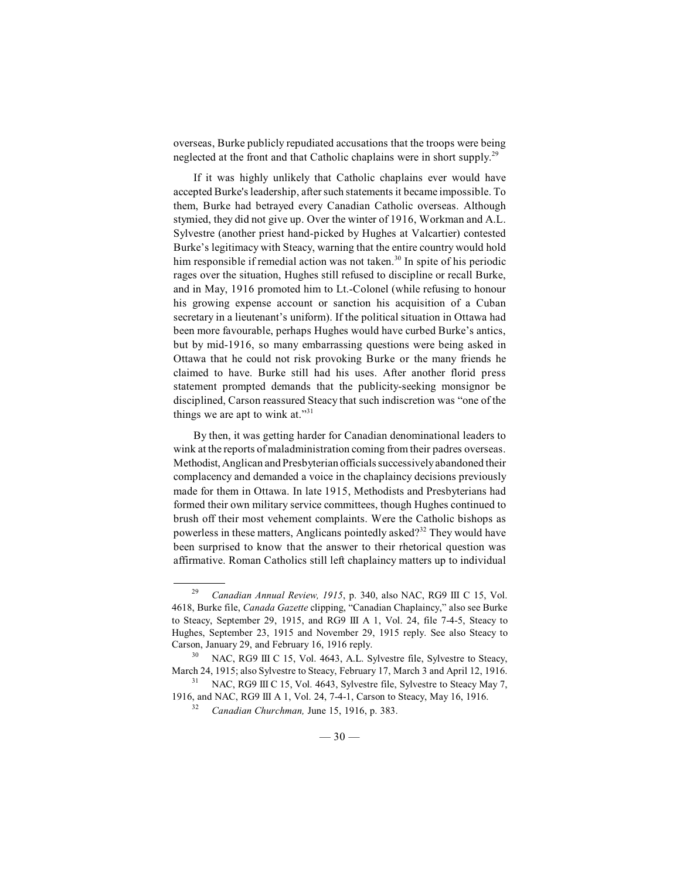overseas, Burke publicly repudiated accusations that the troops were being neglected at the front and that Catholic chaplains were in short supply.<sup>29</sup>

If it was highly unlikely that Catholic chaplains ever would have accepted Burke's leadership, after such statements it became impossible. To them, Burke had betrayed every Canadian Catholic overseas. Although stymied, they did not give up. Over the winter of 1916, Workman and A.L. Sylvestre (another priest hand-picked by Hughes at Valcartier) contested Burke's legitimacy with Steacy, warning that the entire country would hold him responsible if remedial action was not taken.<sup>30</sup> In spite of his periodic rages over the situation, Hughes still refused to discipline or recall Burke, and in May, 1916 promoted him to Lt.-Colonel (while refusing to honour his growing expense account or sanction his acquisition of a Cuban secretary in a lieutenant's uniform). If the political situation in Ottawa had been more favourable, perhaps Hughes would have curbed Burke's antics, but by mid-1916, so many embarrassing questions were being asked in Ottawa that he could not risk provoking Burke or the many friends he claimed to have. Burke still had his uses. After another florid press statement prompted demands that the publicity-seeking monsignor be disciplined, Carson reassured Steacy that such indiscretion was "one of the things we are apt to wink at."<sup>31</sup>

By then, it was getting harder for Canadian denominational leaders to wink at the reports of maladministration coming from their padres overseas. Methodist, Anglican and Presbyterian officials successively abandoned their complacency and demanded a voice in the chaplaincy decisions previously made for them in Ottawa. In late 1915, Methodists and Presbyterians had formed their own military service committees, though Hughes continued to brush off their most vehement complaints. Were the Catholic bishops as powerless in these matters, Anglicans pointedly asked?<sup>32</sup> They would have been surprised to know that the answer to their rhetorical question was affirmative. Roman Catholics still left chaplaincy matters up to individual

<sup>&</sup>lt;sup>29</sup> Canadian Annual Review, 1915, p. 340, also NAC, RG9 III C 15, Vol. 4618, Burke file, *Canada Gazette* clipping, "Canadian Chaplaincy," also see Burke to Steacy, September 29, 1915, and RG9 III A 1, Vol. 24, file 7-4-5, Steacy to Hughes, September 23, 1915 and November 29, 1915 reply. See also Steacy to Carson, January 29, and February 16, 1916 reply.

NAC, RG9 III C 15, Vol. 4643, A.L. Sylvestre file, Sylvestre to Steacy, 30 March 24, 1915; also Sylvestre to Steacy, February 17, March 3 and April 12, 1916.

NAC, RG9 III C 15, Vol. 4643, Sylvestre file, Sylvestre to Steacy May 7, 1916, and NAC, RG9 III A 1, Vol. 24, 7-4-1, Carson to Steacy, May 16, 1916.

<sup>&</sup>lt;sup>32</sup> Canadian Churchman, June 15, 1916, p. 383.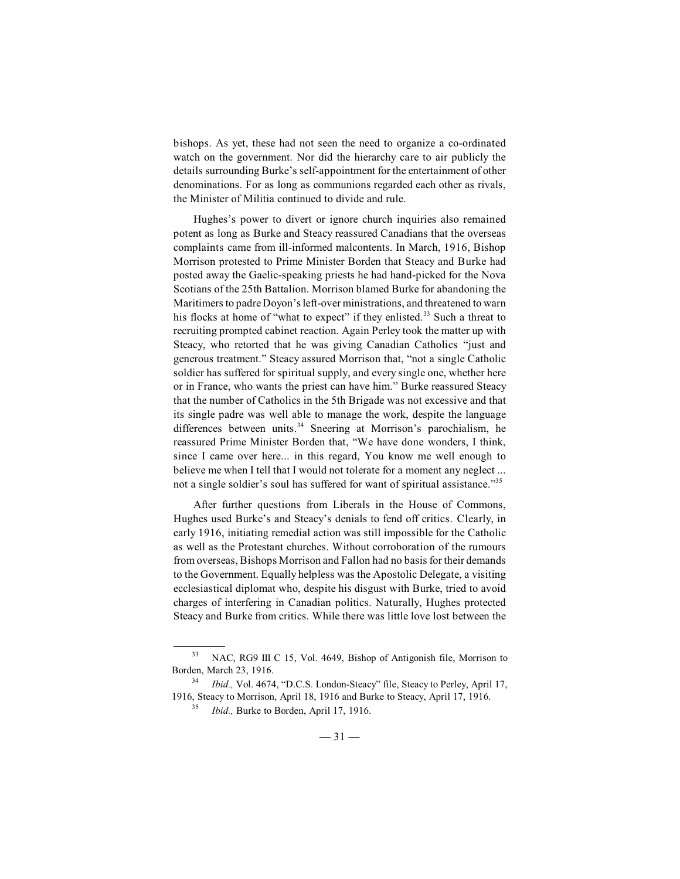bishops. As yet, these had not seen the need to organize a co-ordinated watch on the government. Nor did the hierarchy care to air publicly the details surrounding Burke's self-appointment for the entertainment of other denominations. For as long as communions regarded each other as rivals, the Minister of Militia continued to divide and rule.

Hughes's power to divert or ignore church inquiries also remained potent as long as Burke and Steacy reassured Canadians that the overseas complaints came from ill-informed malcontents. In March, 1916, Bishop Morrison protested to Prime Minister Borden that Steacy and Burke had posted away the Gaelic-speaking priests he had hand-picked for the Nova Scotians of the 25th Battalion. Morrison blamed Burke for abandoning the Maritimers to padre Doyon's left-over ministrations, and threatened to warn his flocks at home of "what to expect" if they enlisted.<sup>33</sup> Such a threat to recruiting prompted cabinet reaction. Again Perley took the matter up with Steacy, who retorted that he was giving Canadian Catholics "just and generous treatment." Steacy assured Morrison that, "not a single Catholic soldier has suffered for spiritual supply, and every single one, whether here or in France, who wants the priest can have him." Burke reassured Steacy that the number of Catholics in the 5th Brigade was not excessive and that its single padre was well able to manage the work, despite the language differences between units.<sup>34</sup> Sneering at Morrison's parochialism, he reassured Prime Minister Borden that, "We have done wonders, I think, since I came over here... in this regard, You know me well enough to believe me when I tell that I would not tolerate for a moment any neglect ... not a single soldier's soul has suffered for want of spiritual assistance."<sup>35</sup>

After further questions from Liberals in the House of Commons, Hughes used Burke's and Steacy's denials to fend off critics. Clearly, in early 1916, initiating remedial action was still impossible for the Catholic as well as the Protestant churches. Without corroboration of the rumours from overseas, Bishops Morrison and Fallon had no basis for their demands to the Government. Equally helpless was the Apostolic Delegate, a visiting ecclesiastical diplomat who, despite his disgust with Burke, tried to avoid charges of interfering in Canadian politics. Naturally, Hughes protected Steacy and Burke from critics. While there was little love lost between the

<sup>&</sup>lt;sup>33</sup> NAC, RG9 III C 15, Vol. 4649, Bishop of Antigonish file, Morrison to Borden, March 23, 1916.

*Ibid., Vol. 4674, "D.C.S. London-Steacy" file, Steacy to Perley, April 17,* 1916, Steacy to Morrison, April 18, 1916 and Burke to Steacy, April 17, 1916.

*Ibid.*, Burke to Borden, April 17, 1916.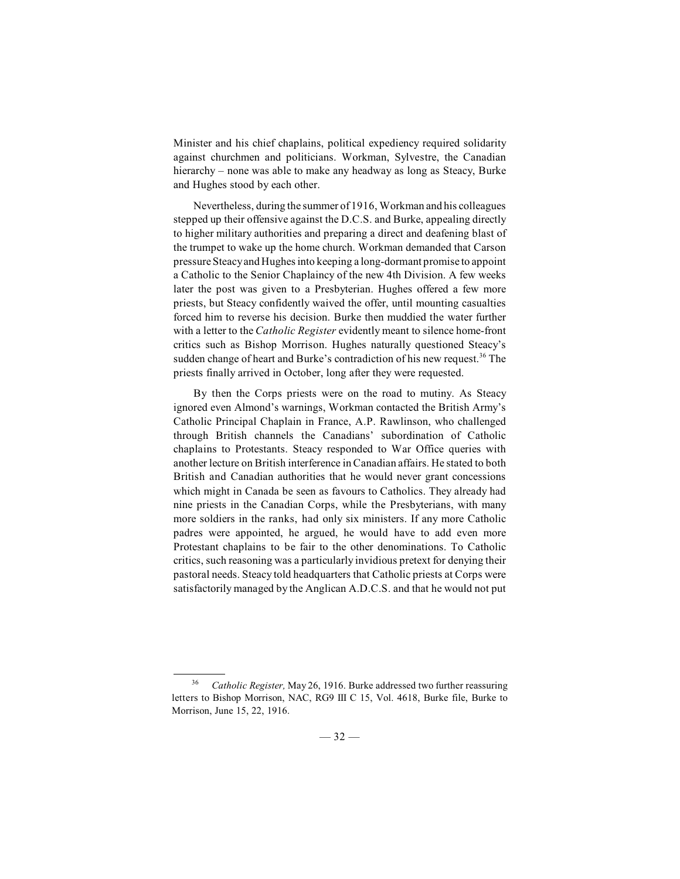Minister and his chief chaplains, political expediency required solidarity against churchmen and politicians. Workman, Sylvestre, the Canadian hierarchy – none was able to make any headway as long as Steacy, Burke and Hughes stood by each other.

Nevertheless, during the summer of 1916, Workman and his colleagues stepped up their offensive against the D.C.S. and Burke, appealing directly to higher military authorities and preparing a direct and deafening blast of the trumpet to wake up the home church. Workman demanded that Carson pressure Steacy and Hughes into keeping a long-dormant promise to appoint a Catholic to the Senior Chaplaincy of the new 4th Division. A few weeks later the post was given to a Presbyterian. Hughes offered a few more priests, but Steacy confidently waived the offer, until mounting casualties forced him to reverse his decision. Burke then muddied the water further with a letter to the *Catholic Register* evidently meant to silence home-front critics such as Bishop Morrison. Hughes naturally questioned Steacy's sudden change of heart and Burke's contradiction of his new request.<sup>36</sup> The priests finally arrived in October, long after they were requested.

By then the Corps priests were on the road to mutiny. As Steacy ignored even Almond's warnings, Workman contacted the British Army's Catholic Principal Chaplain in France, A.P. Rawlinson, who challenged through British channels the Canadians' subordination of Catholic chaplains to Protestants. Steacy responded to War Office queries with another lecture on British interference in Canadian affairs. He stated to both British and Canadian authorities that he would never grant concessions which might in Canada be seen as favours to Catholics. They already had nine priests in the Canadian Corps, while the Presbyterians, with many more soldiers in the ranks, had only six ministers. If any more Catholic padres were appointed, he argued, he would have to add even more Protestant chaplains to be fair to the other denominations. To Catholic critics, such reasoning was a particularly invidious pretext for denying their pastoral needs. Steacy told headquarters that Catholic priests at Corps were satisfactorily managed by the Anglican A.D.C.S. and that he would not put

*Catholic Register,* May 26, 1916. Burke addressed two further reassuring <sup>36</sup> letters to Bishop Morrison, NAC, RG9 III C 15, Vol. 4618, Burke file, Burke to Morrison, June 15, 22, 1916.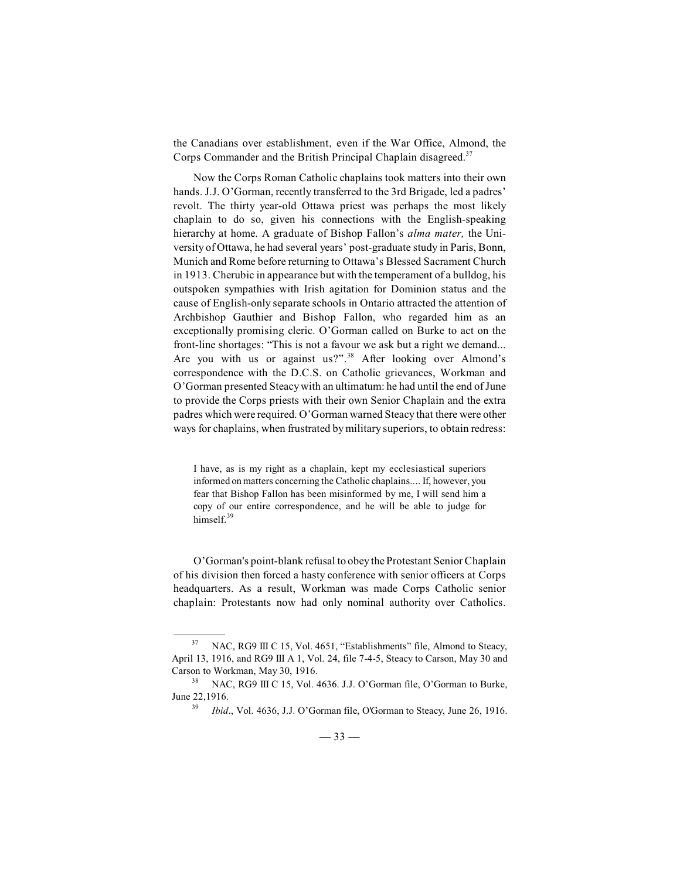the Canadians over establishment, even if the War Office, Almond, the Corps Commander and the British Principal Chaplain disagreed.<sup>37</sup>

Now the Corps Roman Catholic chaplains took matters into their own hands. J.J. O'Gorman, recently transferred to the 3rd Brigade, led a padres' revolt. The thirty year-old Ottawa priest was perhaps the most likely chaplain to do so, given his connections with the English-speaking hierarchy at home. A graduate of Bishop Fallon's *alma mater,* the University of Ottawa, he had several years' post-graduate study in Paris, Bonn, Munich and Rome before returning to Ottawa's Blessed Sacrament Church in 1913. Cherubic in appearance but with the temperament of a bulldog, his outspoken sympathies with Irish agitation for Dominion status and the cause of English-only separate schools in Ontario attracted the attention of Archbishop Gauthier and Bishop Fallon, who regarded him as an exceptionally promising cleric. O'Gorman called on Burke to act on the front-line shortages: "This is not a favour we ask but a right we demand... Are you with us or against us?".<sup>38</sup> After looking over Almond's correspondence with the D.C.S. on Catholic grievances, Workman and O'Gorman presented Steacy with an ultimatum: he had until the end of June to provide the Corps priests with their own Senior Chaplain and the extra padres which were required. O'Gorman warned Steacy that there were other ways for chaplains, when frustrated by military superiors, to obtain redress:

I have, as is my right as a chaplain, kept my ecclesiastical superiors informed on matters concerning the Catholic chaplains.... If, however, you fear that Bishop Fallon has been misinformed by me, I will send him a copy of our entire correspondence, and he will be able to judge for himself.<sup>39</sup>

O'Gorman's point-blank refusal to obey the Protestant Senior Chaplain of his division then forced a hasty conference with senior officers at Corps headquarters. As a result, Workman was made Corps Catholic senior chaplain: Protestants now had only nominal authority over Catholics.

NAC, RG9 III C 15, Vol. 4651, "Establishments" file, Almond to Steacy, 37 April 13, 1916, and RG9 III A 1, Vol. 24, file 7-4-5, Steacy to Carson, May 30 and Carson to Workman, May 30, 1916.

<sup>&</sup>lt;sup>38</sup> NAC, RG9 III C 15, Vol. 4636. J.J. O'Gorman file, O'Gorman to Burke, June 22,1916.

<sup>&</sup>lt;sup>39</sup> *Ibid.*, Vol. 4636, J.J. O'Gorman file, O'Gorman to Steacy, June 26, 1916.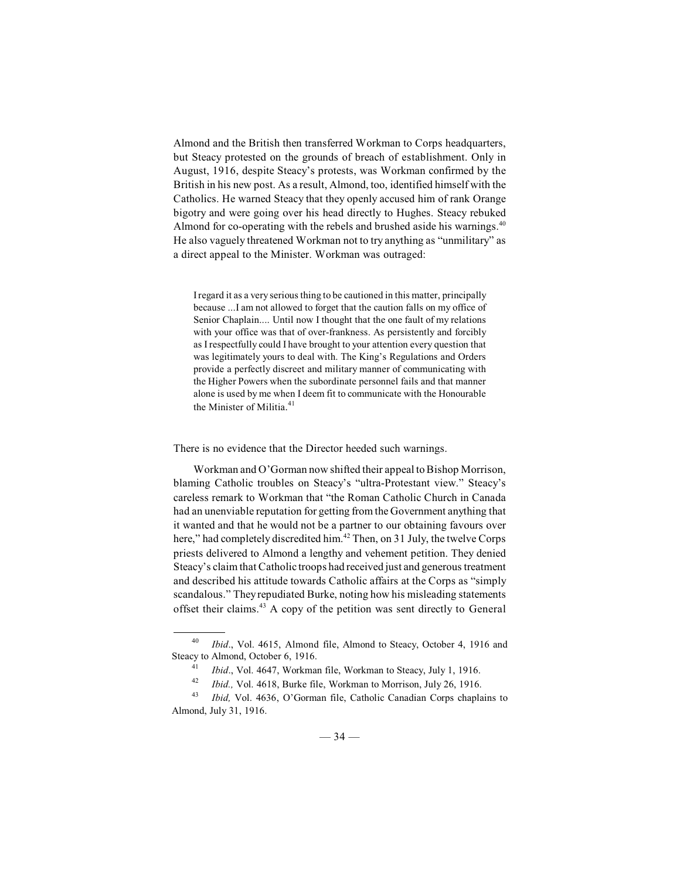Almond and the British then transferred Workman to Corps headquarters, but Steacy protested on the grounds of breach of establishment. Only in August, 1916, despite Steacy's protests, was Workman confirmed by the British in his new post. As a result, Almond, too, identified himself with the Catholics. He warned Steacy that they openly accused him of rank Orange bigotry and were going over his head directly to Hughes. Steacy rebuked Almond for co-operating with the rebels and brushed aside his warnings.<sup>40</sup> He also vaguely threatened Workman not to try anything as "unmilitary" as a direct appeal to the Minister. Workman was outraged:

I regard it as a very serious thing to be cautioned in this matter, principally because ...I am not allowed to forget that the caution falls on my office of Senior Chaplain.... Until now I thought that the one fault of my relations with your office was that of over-frankness. As persistently and forcibly as I respectfully could I have brought to your attention every question that was legitimately yours to deal with. The King's Regulations and Orders provide a perfectly discreet and military manner of communicating with the Higher Powers when the subordinate personnel fails and that manner alone is used by me when I deem fit to communicate with the Honourable the Minister of Militia. 41

There is no evidence that the Director heeded such warnings.

Workman and O'Gorman now shifted their appeal to Bishop Morrison, blaming Catholic troubles on Steacy's "ultra-Protestant view." Steacy's careless remark to Workman that "the Roman Catholic Church in Canada had an unenviable reputation for getting from the Government anything that it wanted and that he would not be a partner to our obtaining favours over here," had completely discredited him.<sup>42</sup> Then, on 31 July, the twelve Corps priests delivered to Almond a lengthy and vehement petition. They denied Steacy's claim that Catholic troops had received just and generous treatment and described his attitude towards Catholic affairs at the Corps as "simply scandalous." They repudiated Burke, noting how his misleading statements offset their claims. $43$  A copy of the petition was sent directly to General

<sup>&</sup>lt;sup>40</sup> *Ibid.*, Vol. 4615, Almond file, Almond to Steacy, October 4, 1916 and Steacy to Almond, October 6, 1916.

<sup>&</sup>lt;sup>41</sup> *Ibid.*, Vol. 4647, Workman file, Workman to Steacy, July 1, 1916.

<sup>&</sup>lt;sup>42</sup> *Ibid.*, Vol. 4618, Burke file, Workman to Morrison, July 26, 1916.<br><sup>43</sup> *Ibid.* Vol. 4636, Q'Gorman file, Catholic Canadian Corps chaple

*Ibid, Vol. 4636, O'Gorman file, Catholic Canadian Corps chaplains to* Almond, July 31, 1916.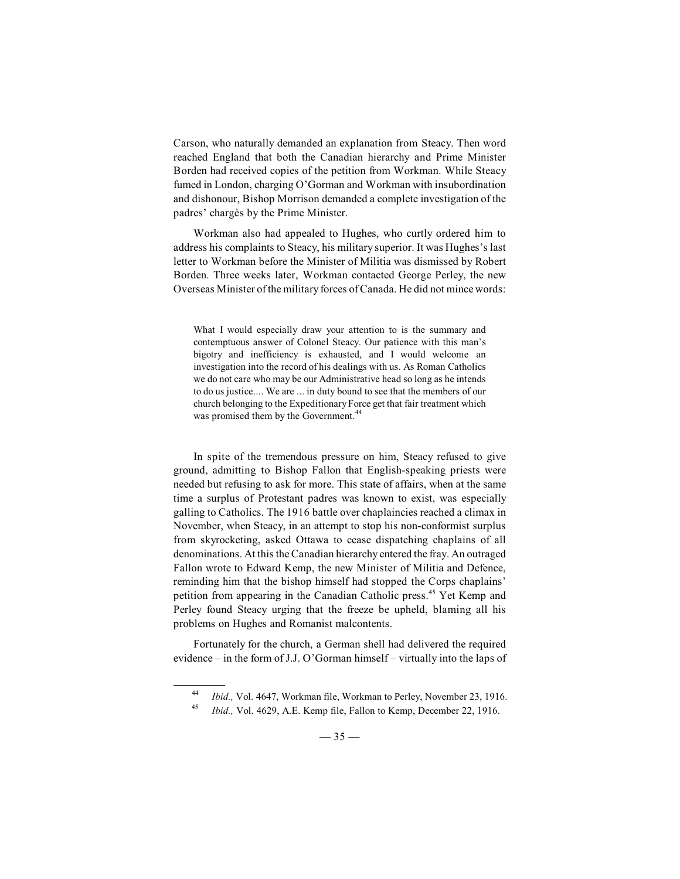Carson, who naturally demanded an explanation from Steacy. Then word reached England that both the Canadian hierarchy and Prime Minister Borden had received copies of the petition from Workman. While Steacy fumed in London, charging O'Gorman and Workman with insubordination and dishonour, Bishop Morrison demanded a complete investigation of the padres' chargès by the Prime Minister.

Workman also had appealed to Hughes, who curtly ordered him to address his complaints to Steacy, his military superior. It was Hughes's last letter to Workman before the Minister of Militia was dismissed by Robert Borden. Three weeks later, Workman contacted George Perley, the new Overseas Minister of the military forces of Canada. He did not mince words:

What I would especially draw your attention to is the summary and contemptuous answer of Colonel Steacy. Our patience with this man's bigotry and inefficiency is exhausted, and I would welcome an investigation into the record of his dealings with us. As Roman Catholics we do not care who may be our Administrative head so long as he intends to do us justice.... We are ... in duty bound to see that the members of our church belonging to the Expeditionary Force get that fair treatment which was promised them by the Government.<sup>4</sup>

In spite of the tremendous pressure on him, Steacy refused to give ground, admitting to Bishop Fallon that English-speaking priests were needed but refusing to ask for more. This state of affairs, when at the same time a surplus of Protestant padres was known to exist, was especially galling to Catholics. The 1916 battle over chaplaincies reached a climax in November, when Steacy, in an attempt to stop his non-conformist surplus from skyrocketing, asked Ottawa to cease dispatching chaplains of all denominations. At this the Canadian hierarchy entered the fray. An outraged Fallon wrote to Edward Kemp, the new Minister of Militia and Defence, reminding him that the bishop himself had stopped the Corps chaplains' petition from appearing in the Canadian Catholic press.<sup>45</sup> Yet Kemp and Perley found Steacy urging that the freeze be upheld, blaming all his problems on Hughes and Romanist malcontents.

Fortunately for the church, a German shell had delivered the required evidence – in the form of J.J. O'Gorman himself – virtually into the laps of

<sup>&</sup>lt;sup>44</sup> *Ibid., Vol. 4647, Workman file, Workman to Perley, November 23, 1916.* 

<sup>&</sup>lt;sup>45</sup> *Ibid.*, Vol. 4629, A.E. Kemp file, Fallon to Kemp, December 22, 1916.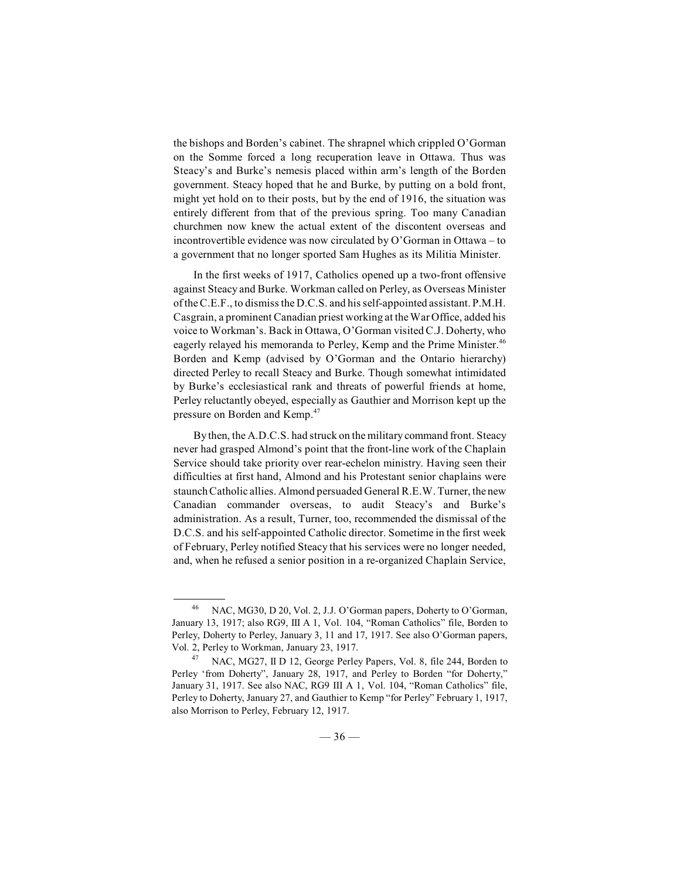the bishops and Borden's cabinet. The shrapnel which crippled O'Gorman on the Somme forced a long recuperation leave in Ottawa. Thus was Steacy's and Burke's nemesis placed within arm's length of the Borden government. Steacy hoped that he and Burke, by putting on a bold front, might yet hold on to their posts, but by the end of 1916, the situation was entirely different from that of the previous spring. Too many Canadian churchmen now knew the actual extent of the discontent overseas and incontrovertible evidence was now circulated by O'Gorman in Ottawa – to a government that no longer sported Sam Hughes as its Militia Minister.

In the first weeks of 1917, Catholics opened up a two-front offensive against Steacy and Burke. Workman called on Perley, as Overseas Minister oftheC.E.F., to dismissthe D.C.S. and his self-appointed assistant. P.M.H. Casgrain, a prominent Canadian priest working at theWar Office, added his voice to Workman's. Back in Ottawa, O'Gorman visited C.J. Doherty, who eagerly relayed his memoranda to Perley, Kemp and the Prime Minister.<sup>46</sup> Borden and Kemp (advised by O'Gorman and the Ontario hierarchy) directed Perley to recall Steacy and Burke. Though somewhat intimidated by Burke's ecclesiastical rank and threats of powerful friends at home, Perley reluctantly obeyed, especially as Gauthier and Morrison kept up the pressure on Borden and Kemp.<sup>47</sup>

By then, the A.D.C.S. had struck on the military command front. Steacy never had grasped Almond's point that the front-line work of the Chaplain Service should take priority over rear-echelon ministry. Having seen their difficulties at first hand, Almond and his Protestant senior chaplains were staunch Catholic allies. Almond persuaded General R.E.W. Turner, the new Canadian commander overseas, to audit Steacy's and Burke's administration. As a result, Turner, too, recommended the dismissal of the D.C.S. and his self-appointed Catholic director. Sometime in the first week of February, Perley notified Steacy that his services were no longer needed, and, when he refused a senior position in a re-organized Chaplain Service,

NAC, MG30, D 20, Vol. 2, J.J. O'Gorman papers, Doherty to O'Gorman, <sup>46</sup> January 13, 1917; also RG9, III A 1, Vol. 104, "Roman Catholics" file, Borden to Perley, Doherty to Perley, January 3, 11 and 17, 1917. See also O'Gorman papers, Vol. 2, Perley to Workman, January 23, 1917.

<sup>&</sup>lt;sup>47</sup> NAC, MG27, II D 12, George Perley Papers, Vol. 8, file 244, Borden to Perley 'from Doherty", January 28, 1917, and Perley to Borden "for Doherty," January 31, 1917. See also NAC, RG9 III A 1, Vol. 104, "Roman Catholics" file, Perley to Doherty, January 27, and Gauthier to Kemp "for Perley" February 1, 1917, also Morrison to Perley, February 12, 1917.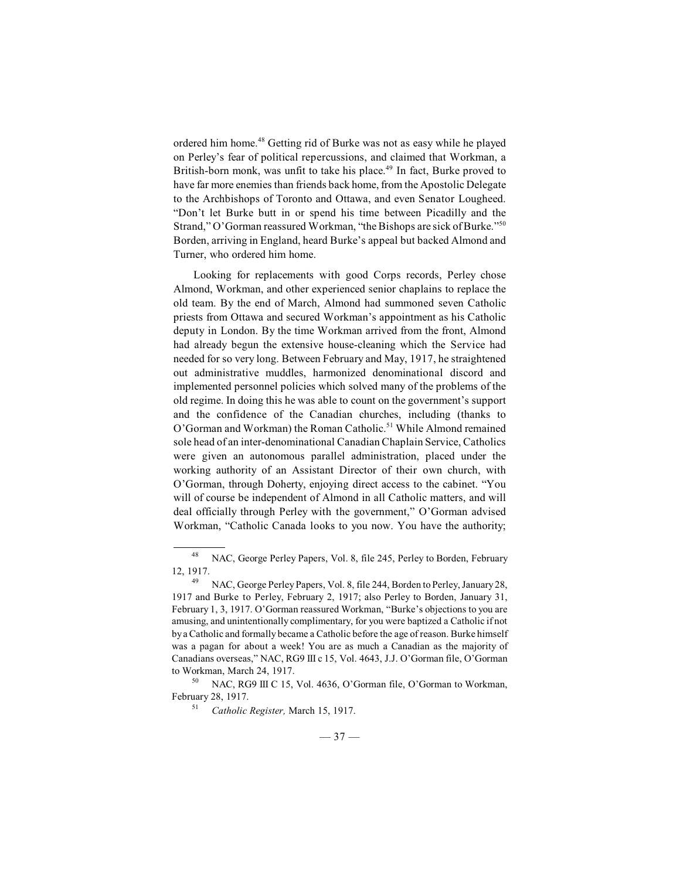ordered him home.<sup>48</sup> Getting rid of Burke was not as easy while he played on Perley's fear of political repercussions, and claimed that Workman, a British-born monk, was unfit to take his place.<sup>49</sup> In fact, Burke proved to have far more enemies than friends back home, from the Apostolic Delegate to the Archbishops of Toronto and Ottawa, and even Senator Lougheed. "Don't let Burke butt in or spend his time between Picadilly and the Strand," O'Gorman reassured Workman, "the Bishops are sick of Burke."<sup>50</sup> Borden, arriving in England, heard Burke's appeal but backed Almond and Turner, who ordered him home.

Looking for replacements with good Corps records, Perley chose Almond, Workman, and other experienced senior chaplains to replace the old team. By the end of March, Almond had summoned seven Catholic priests from Ottawa and secured Workman's appointment as his Catholic deputy in London. By the time Workman arrived from the front, Almond had already begun the extensive house-cleaning which the Service had needed for so very long. Between February and May, 1917, he straightened out administrative muddles, harmonized denominational discord and implemented personnel policies which solved many of the problems of the old regime. In doing this he was able to count on the government's support and the confidence of the Canadian churches, including (thanks to O'Gorman and Workman) the Roman Catholic.<sup>51</sup> While Almond remained sole head of an inter-denominational Canadian Chaplain Service, Catholics were given an autonomous parallel administration, placed under the working authority of an Assistant Director of their own church, with O'Gorman, through Doherty, enjoying direct access to the cabinet. "You will of course be independent of Almond in all Catholic matters, and will deal officially through Perley with the government," O'Gorman advised Workman, "Catholic Canada looks to you now. You have the authority;

NAC, George Perley Papers, Vol. 8, file 245, Perley to Borden, February 48 12, 1917.

<sup>&</sup>lt;sup>49</sup> NAC, George Perley Papers, Vol. 8, file 244, Borden to Perley, January 28, 1917 and Burke to Perley, February 2, 1917; also Perley to Borden, January 31, February 1, 3, 1917. O'Gorman reassured Workman, "Burke's objections to you are amusing, and unintentionally complimentary, for you were baptized a Catholic if not by a Catholic and formally became a Catholic before the age of reason. Burke himself was a pagan for about a week! You are as much a Canadian as the majority of Canadians overseas," NAC, RG9 III c 15, Vol. 4643, J.J. O'Gorman file, O'Gorman to Workman, March 24, 1917.

<sup>&</sup>lt;sup>50</sup> NAC, RG9 III C 15, Vol. 4636, O'Gorman file, O'Gorman to Workman, February 28, 1917.

<sup>&</sup>lt;sup>51</sup> Catholic Register, March 15, 1917.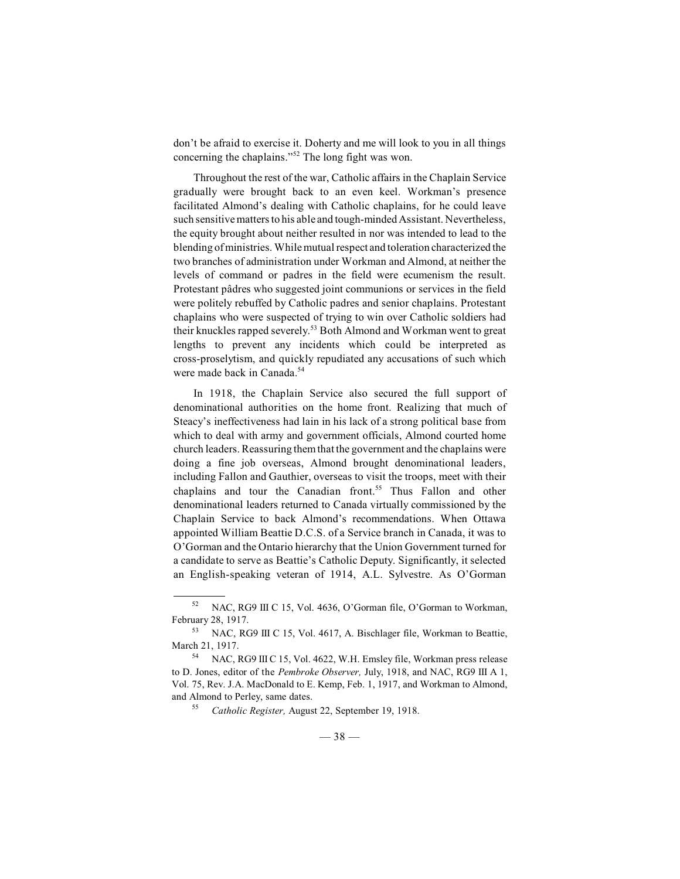don't be afraid to exercise it. Doherty and me will look to you in all things concerning the chaplains."<sup> $52$ </sup> The long fight was won.

Throughout the rest of the war, Catholic affairs in the Chaplain Service gradually were brought back to an even keel. Workman's presence facilitated Almond's dealing with Catholic chaplains, for he could leave such sensitive matters to his able and tough-minded Assistant. Nevertheless, the equity brought about neither resulted in nor was intended to lead to the blending of ministries. While mutual respect and toleration characterized the two branches of administration under Workman and Almond, at neither the levels of command or padres in the field were ecumenism the result. Protestant pâdres who suggested joint communions or services in the field were politely rebuffed by Catholic padres and senior chaplains. Protestant chaplains who were suspected of trying to win over Catholic soldiers had their knuckles rapped severely.<sup>53</sup> Both Almond and Workman went to great lengths to prevent any incidents which could be interpreted as cross-proselytism, and quickly repudiated any accusations of such which were made back in Canada.<sup>54</sup>

In 1918, the Chaplain Service also secured the full support of denominational authorities on the home front. Realizing that much of Steacy's ineffectiveness had lain in his lack of a strong political base from which to deal with army and government officials, Almond courted home church leaders. Reassuring themthat the government and the chaplains were doing a fine job overseas, Almond brought denominational leaders, including Fallon and Gauthier, overseas to visit the troops, meet with their chaplains and tour the Canadian front.<sup>55</sup> Thus Fallon and other denominational leaders returned to Canada virtually commissioned by the Chaplain Service to back Almond's recommendations. When Ottawa appointed William Beattie D.C.S. of a Service branch in Canada, it was to O'Gorman and the Ontario hierarchy that the Union Government turned for a candidate to serve as Beattie's Catholic Deputy. Significantly, it selected an English-speaking veteran of 1914, A.L. Sylvestre. As O'Gorman

<sup>&</sup>lt;sup>52</sup> NAC, RG9 III C 15, Vol. 4636, O'Gorman file, O'Gorman to Workman, February 28, 1917.

<sup>&</sup>lt;sup>53</sup> NAC, RG9 III C 15, Vol. 4617, A. Bischlager file, Workman to Beattie, March 21, 1917.

NAC, RG9 III C 15, Vol. 4622, W.H. Emsley file, Workman press release to D. Jones, editor of the *Pembroke Observer,* July, 1918, and NAC, RG9 III A 1, Vol. 75, Rev. J.A. MacDonald to E. Kemp, Feb. 1, 1917, and Workman to Almond, and Almond to Perley, same dates.

<sup>&</sup>lt;sup>55</sup> Catholic Register, August 22, September 19, 1918.